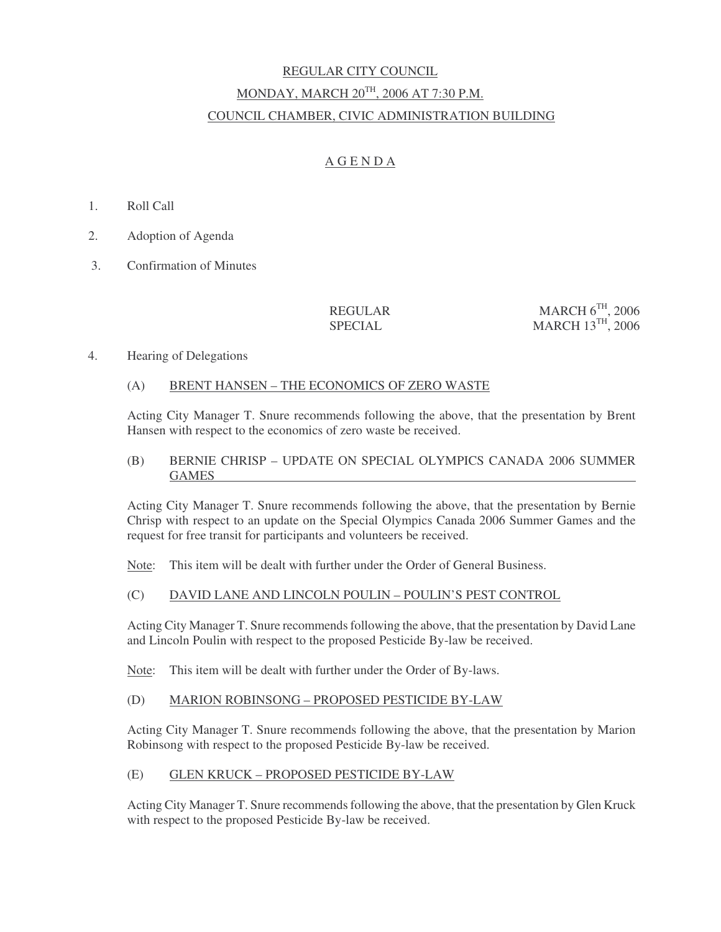# REGULAR CITY COUNCIL MONDAY, MARCH 20TH, 2006 AT 7:30 P.M. COUNCIL CHAMBER, CIVIC ADMINISTRATION BUILDING

# A G E N D A

- 1. Roll Call
- 2. Adoption of Agenda
- 3. Confirmation of Minutes

#### REGULAR SPECIAL

MARCH  $6^{TH}$ , 2006 MARCH 13TH, 2006

# 4. Hearing of Delegations

# (A) BRENT HANSEN – THE ECONOMICS OF ZERO WASTE

Acting City Manager T. Snure recommends following the above, that the presentation by Brent Hansen with respect to the economics of zero waste be received.

#### (B) BERNIE CHRISP – UPDATE ON SPECIAL OLYMPICS CANADA 2006 SUMMER GAMES

Acting City Manager T. Snure recommends following the above, that the presentation by Bernie Chrisp with respect to an update on the Special Olympics Canada 2006 Summer Games and the request for free transit for participants and volunteers be received.

Note: This item will be dealt with further under the Order of General Business.

# (C) DAVID LANE AND LINCOLN POULIN – POULIN'S PEST CONTROL

Acting City Manager T. Snure recommends following the above, that the presentation by David Lane and Lincoln Poulin with respect to the proposed Pesticide By-law be received.

Note: This item will be dealt with further under the Order of By-laws.

# (D) MARION ROBINSONG – PROPOSED PESTICIDE BY-LAW

Acting City Manager T. Snure recommends following the above, that the presentation by Marion Robinsong with respect to the proposed Pesticide By-law be received.

#### (E) GLEN KRUCK – PROPOSED PESTICIDE BY-LAW

Acting City Manager T. Snure recommends following the above, that the presentation by Glen Kruck with respect to the proposed Pesticide By-law be received.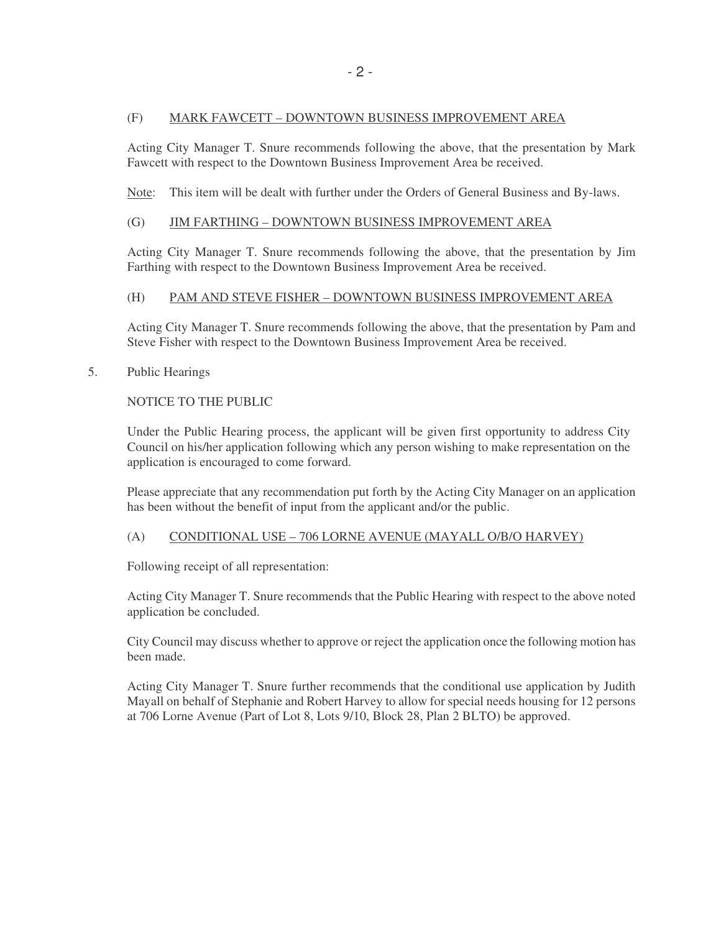#### (F) MARK FAWCETT – DOWNTOWN BUSINESS IMPROVEMENT AREA

Acting City Manager T. Snure recommends following the above, that the presentation by Mark Fawcett with respect to the Downtown Business Improvement Area be received.

Note: This item will be dealt with further under the Orders of General Business and By-laws.

#### (G) JIM FARTHING – DOWNTOWN BUSINESS IMPROVEMENT AREA

Acting City Manager T. Snure recommends following the above, that the presentation by Jim Farthing with respect to the Downtown Business Improvement Area be received.

# (H) PAM AND STEVE FISHER – DOWNTOWN BUSINESS IMPROVEMENT AREA

Acting City Manager T. Snure recommends following the above, that the presentation by Pam and Steve Fisher with respect to the Downtown Business Improvement Area be received.

#### 5. Public Hearings

NOTICE TO THE PUBLIC

Under the Public Hearing process, the applicant will be given first opportunity to address City Council on his/her application following which any person wishing to make representation on the application is encouraged to come forward.

Please appreciate that any recommendation put forth by the Acting City Manager on an application has been without the benefit of input from the applicant and/or the public.

# (A) CONDITIONAL USE – 706 LORNE AVENUE (MAYALL O/B/O HARVEY)

Following receipt of all representation:

Acting City Manager T. Snure recommends that the Public Hearing with respect to the above noted application be concluded.

City Council may discuss whether to approve or reject the application once the following motion has been made.

Acting City Manager T. Snure further recommends that the conditional use application by Judith Mayall on behalf of Stephanie and Robert Harvey to allow for special needs housing for 12 persons at 706 Lorne Avenue (Part of Lot 8, Lots 9/10, Block 28, Plan 2 BLTO) be approved.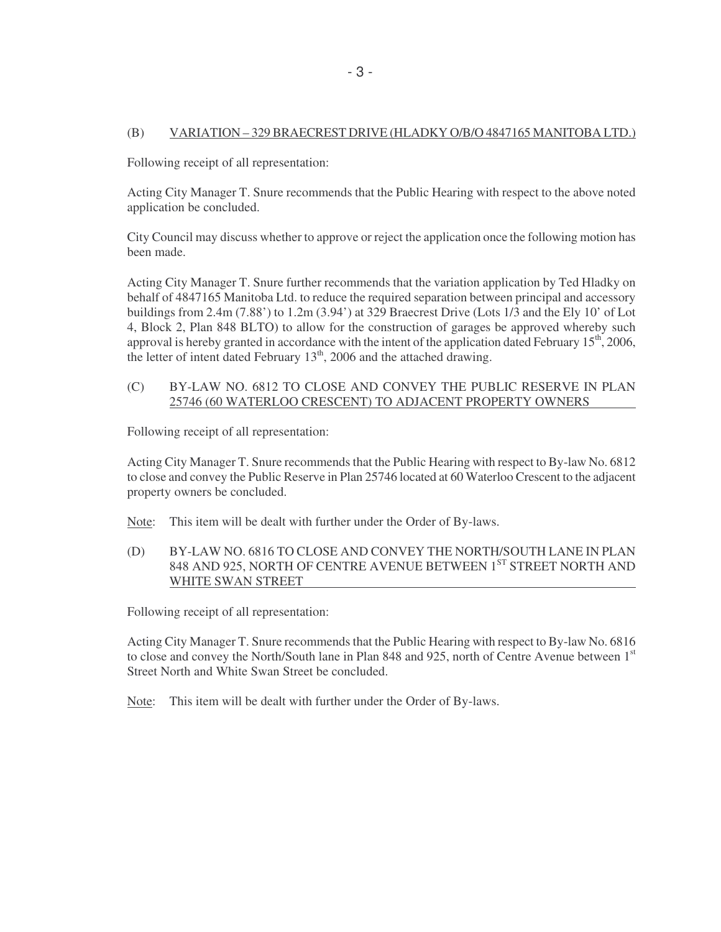# (B) VARIATION – 329 BRAECREST DRIVE (HLADKY O/B/O 4847165 MANITOBA LTD.)

Following receipt of all representation:

Acting City Manager T. Snure recommends that the Public Hearing with respect to the above noted application be concluded.

City Council may discuss whether to approve or reject the application once the following motion has been made.

Acting City Manager T. Snure further recommends that the variation application by Ted Hladky on behalf of 4847165 Manitoba Ltd. to reduce the required separation between principal and accessory buildings from 2.4m (7.88') to 1.2m (3.94') at 329 Braecrest Drive (Lots 1/3 and the Ely 10' of Lot 4, Block 2, Plan 848 BLTO) to allow for the construction of garages be approved whereby such approval is hereby granted in accordance with the intent of the application dated February  $15<sup>th</sup>$ , 2006, the letter of intent dated February  $13<sup>th</sup>$ , 2006 and the attached drawing.

# (C) BY-LAW NO. 6812 TO CLOSE AND CONVEY THE PUBLIC RESERVE IN PLAN 25746 (60 WATERLOO CRESCENT) TO ADJACENT PROPERTY OWNERS

Following receipt of all representation:

Acting City Manager T. Snure recommends that the Public Hearing with respect to By-law No. 6812 to close and convey the Public Reserve in Plan 25746 located at 60 Waterloo Crescent to the adjacent property owners be concluded.

Note: This item will be dealt with further under the Order of By-laws.

(D) BY-LAW NO. 6816 TO CLOSE AND CONVEY THE NORTH/SOUTH LANE IN PLAN 848 AND 925, NORTH OF CENTRE AVENUE BETWEEN 1<sup>ST</sup> STREET NORTH AND WHITE SWAN STREET

Following receipt of all representation:

Acting City Manager T. Snure recommends that the Public Hearing with respect to By-law No. 6816 to close and convey the North/South lane in Plan 848 and 925, north of Centre Avenue between 1st Street North and White Swan Street be concluded.

Note: This item will be dealt with further under the Order of By-laws.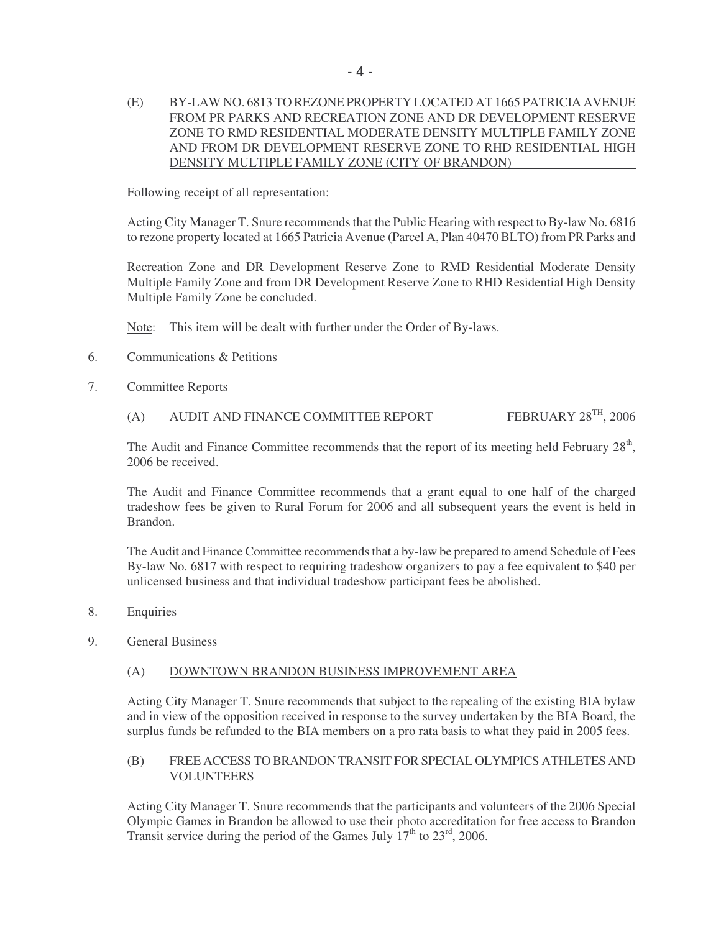(E) BY-LAW NO. 6813 TO REZONE PROPERTY LOCATED AT 1665 PATRICIA AVENUE FROM PR PARKS AND RECREATION ZONE AND DR DEVELOPMENT RESERVE ZONE TO RMD RESIDENTIAL MODERATE DENSITY MULTIPLE FAMILY ZONE AND FROM DR DEVELOPMENT RESERVE ZONE TO RHD RESIDENTIAL HIGH DENSITY MULTIPLE FAMILY ZONE (CITY OF BRANDON)

Following receipt of all representation:

Acting City Manager T. Snure recommends that the Public Hearing with respect to By-law No. 6816 to rezone property located at 1665 Patricia Avenue (Parcel A, Plan 40470 BLTO) from PR Parks and

Recreation Zone and DR Development Reserve Zone to RMD Residential Moderate Density Multiple Family Zone and from DR Development Reserve Zone to RHD Residential High Density Multiple Family Zone be concluded.

Note: This item will be dealt with further under the Order of By-laws.

- 6. Communications & Petitions
- 7. Committee Reports

# (A) AUDIT AND FINANCE COMMITTEE REPORT FEBRUARY  $28^{TH}$ ,  $2006$

The Audit and Finance Committee recommends that the report of its meeting held February 28<sup>th</sup>, 2006 be received.

The Audit and Finance Committee recommends that a grant equal to one half of the charged tradeshow fees be given to Rural Forum for 2006 and all subsequent years the event is held in Brandon.

The Audit and Finance Committee recommends that a by-law be prepared to amend Schedule of Fees By-law No. 6817 with respect to requiring tradeshow organizers to pay a fee equivalent to \$40 per unlicensed business and that individual tradeshow participant fees be abolished.

- 8. Enquiries
- 9. General Business

#### (A) DOWNTOWN BRANDON BUSINESS IMPROVEMENT AREA

Acting City Manager T. Snure recommends that subject to the repealing of the existing BIA bylaw and in view of the opposition received in response to the survey undertaken by the BIA Board, the surplus funds be refunded to the BIA members on a pro rata basis to what they paid in 2005 fees.

#### (B) FREE ACCESS TO BRANDON TRANSIT FOR SPECIAL OLYMPICS ATHLETES AND VOLUNTEERS

Acting City Manager T. Snure recommends that the participants and volunteers of the 2006 Special Olympic Games in Brandon be allowed to use their photo accreditation for free access to Brandon Transit service during the period of the Games July  $17<sup>th</sup>$  to  $23<sup>rd</sup>$ , 2006.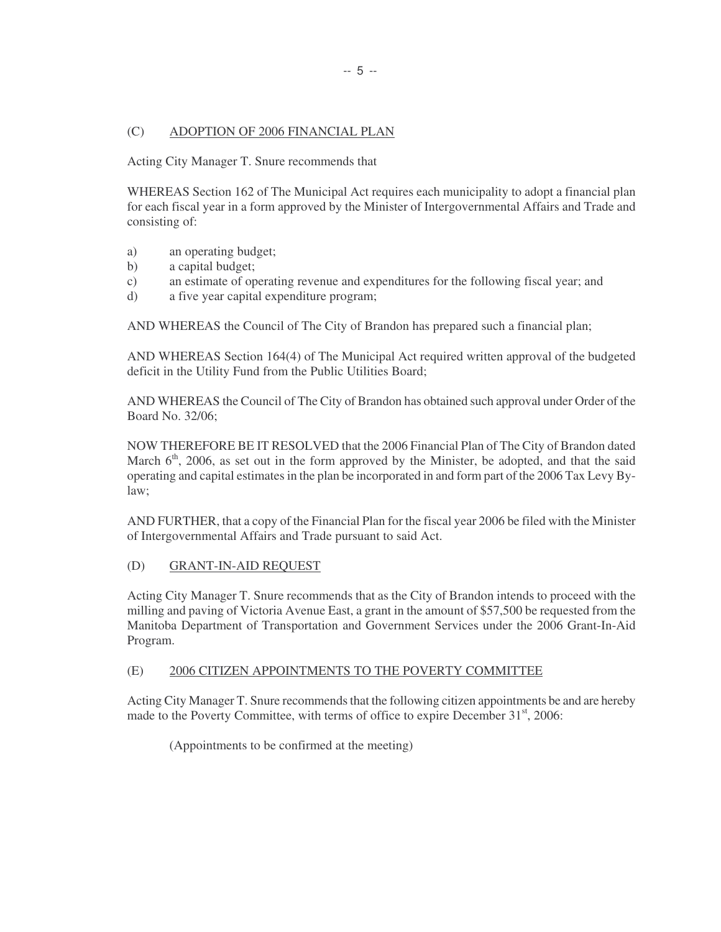# (C) ADOPTION OF 2006 FINANCIAL PLAN

Acting City Manager T. Snure recommends that

WHEREAS Section 162 of The Municipal Act requires each municipality to adopt a financial plan for each fiscal year in a form approved by the Minister of Intergovernmental Affairs and Trade and consisting of:

- a) an operating budget;
- b) a capital budget;
- c) an estimate of operating revenue and expenditures for the following fiscal year; and
- d) a five year capital expenditure program;

AND WHEREAS the Council of The City of Brandon has prepared such a financial plan;

AND WHEREAS Section 164(4) of The Municipal Act required written approval of the budgeted deficit in the Utility Fund from the Public Utilities Board;

AND WHEREAS the Council of The City of Brandon has obtained such approval under Order of the Board No. 32/06;

NOW THEREFORE BE IT RESOLVED that the 2006 Financial Plan of The City of Brandon dated March  $6<sup>th</sup>$ , 2006, as set out in the form approved by the Minister, be adopted, and that the said operating and capital estimates in the plan be incorporated in and form part of the 2006 Tax Levy Bylaw;

AND FURTHER, that a copy of the Financial Plan for the fiscal year 2006 be filed with the Minister of Intergovernmental Affairs and Trade pursuant to said Act.

# (D) GRANT-IN-AID REQUEST

Acting City Manager T. Snure recommends that as the City of Brandon intends to proceed with the milling and paving of Victoria Avenue East, a grant in the amount of \$57,500 be requested from the Manitoba Department of Transportation and Government Services under the 2006 Grant-In-Aid Program.

# (E) 2006 CITIZEN APPOINTMENTS TO THE POVERTY COMMITTEE

Acting City Manager T. Snure recommends that the following citizen appointments be and are hereby made to the Poverty Committee, with terms of office to expire December  $31<sup>st</sup>$ , 2006:

(Appointments to be confirmed at the meeting)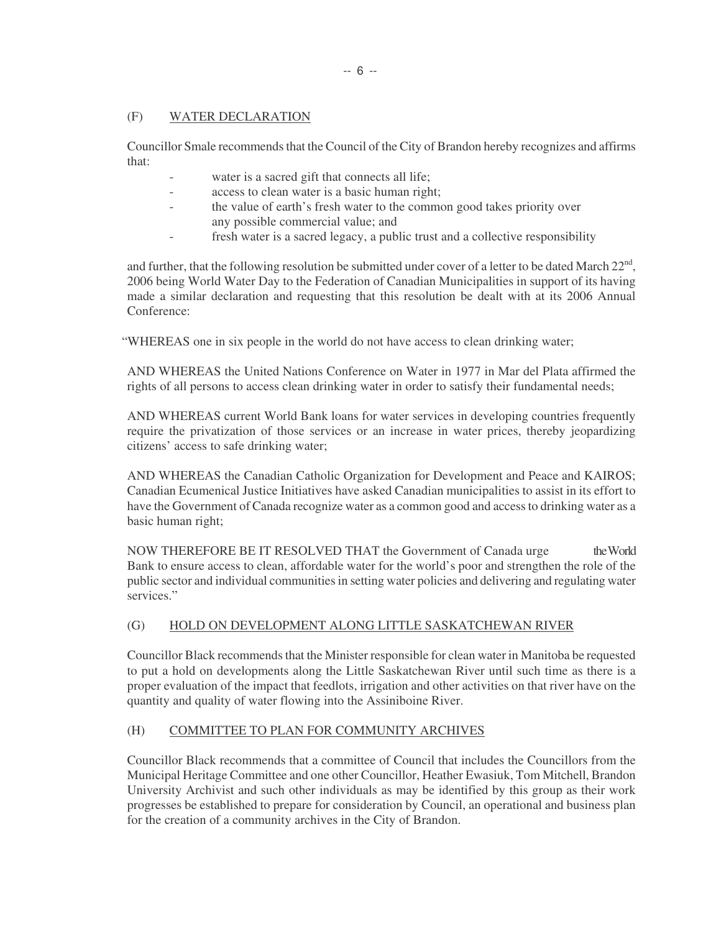# (F) WATER DECLARATION

Councillor Smale recommends that the Council of the City of Brandon hereby recognizes and affirms that:

- water is a sacred gift that connects all life;
- access to clean water is a basic human right;
- the value of earth's fresh water to the common good takes priority over any possible commercial value; and
- fresh water is a sacred legacy, a public trust and a collective responsibility

and further, that the following resolution be submitted under cover of a letter to be dated March  $22^{nd}$ , 2006 being World Water Day to the Federation of Canadian Municipalities in support of its having made a similar declaration and requesting that this resolution be dealt with at its 2006 Annual Conference:

"WHEREAS one in six people in the world do not have access to clean drinking water;

AND WHEREAS the United Nations Conference on Water in 1977 in Mar del Plata affirmed the rights of all persons to access clean drinking water in order to satisfy their fundamental needs;

AND WHEREAS current World Bank loans for water services in developing countries frequently require the privatization of those services or an increase in water prices, thereby jeopardizing citizens' access to safe drinking water;

AND WHEREAS the Canadian Catholic Organization for Development and Peace and KAIROS; Canadian Ecumenical Justice Initiatives have asked Canadian municipalities to assist in its effort to have the Government of Canada recognize water as a common good and access to drinking water as a basic human right;

NOW THEREFORE BE IT RESOLVED THAT the Government of Canada urge the World Bank to ensure access to clean, affordable water for the world's poor and strengthen the role of the public sector and individual communities in setting water policies and delivering and regulating water services."

# (G) HOLD ON DEVELOPMENT ALONG LITTLE SASKATCHEWAN RIVER

Councillor Black recommends that the Minister responsible for clean water in Manitoba be requested to put a hold on developments along the Little Saskatchewan River until such time as there is a proper evaluation of the impact that feedlots, irrigation and other activities on that river have on the quantity and quality of water flowing into the Assiniboine River.

# (H) COMMITTEE TO PLAN FOR COMMUNITY ARCHIVES

Councillor Black recommends that a committee of Council that includes the Councillors from the Municipal Heritage Committee and one other Councillor, Heather Ewasiuk, Tom Mitchell, Brandon University Archivist and such other individuals as may be identified by this group as their work progresses be established to prepare for consideration by Council, an operational and business plan for the creation of a community archives in the City of Brandon.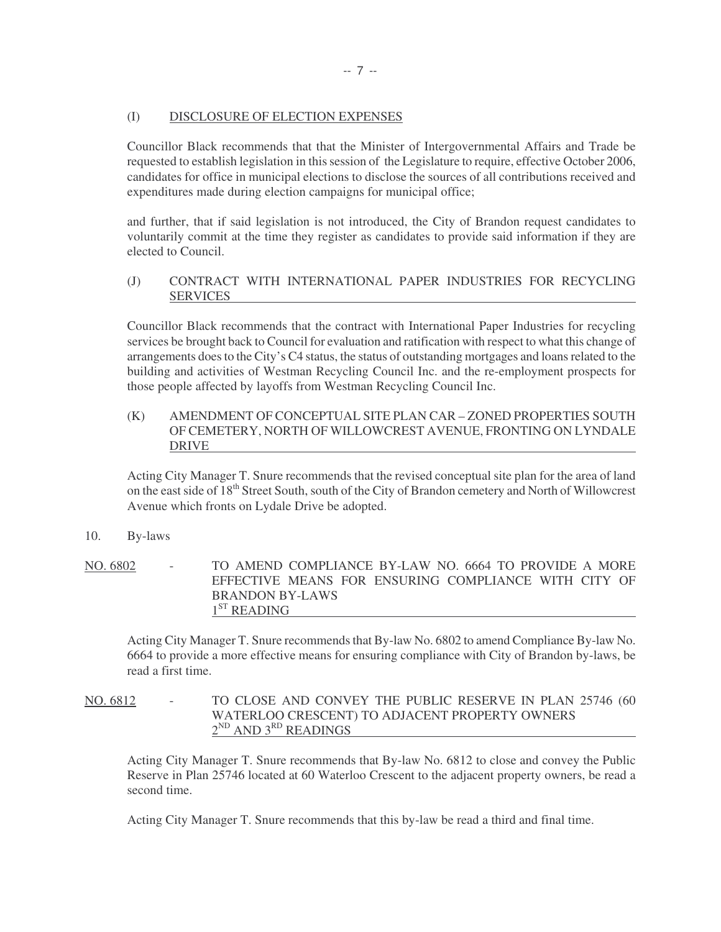#### (I) DISCLOSURE OF ELECTION EXPENSES

Councillor Black recommends that that the Minister of Intergovernmental Affairs and Trade be requested to establish legislation in this session of the Legislature to require, effective October 2006, candidates for office in municipal elections to disclose the sources of all contributions received and expenditures made during election campaigns for municipal office;

and further, that if said legislation is not introduced, the City of Brandon request candidates to voluntarily commit at the time they register as candidates to provide said information if they are elected to Council.

# (J) CONTRACT WITH INTERNATIONAL PAPER INDUSTRIES FOR RECYCLING SERVICES

Councillor Black recommends that the contract with International Paper Industries for recycling services be brought back to Council for evaluation and ratification with respect to what this change of arrangements does to the City's C4 status, the status of outstanding mortgages and loans related to the building and activities of Westman Recycling Council Inc. and the re-employment prospects for those people affected by layoffs from Westman Recycling Council Inc.

# (K) AMENDMENT OF CONCEPTUAL SITE PLAN CAR – ZONED PROPERTIES SOUTH OF CEMETERY, NORTH OF WILLOWCREST AVENUE, FRONTING ON LYNDALE DRIVE

Acting City Manager T. Snure recommends that the revised conceptual site plan for the area of land on the east side of 18<sup>th</sup> Street South, south of the City of Brandon cemetery and North of Willowcrest Avenue which fronts on Lydale Drive be adopted.

# 10. By-laws

NO. 6802 - TO AMEND COMPLIANCE BY-LAW NO. 6664 TO PROVIDE A MORE EFFECTIVE MEANS FOR ENSURING COMPLIANCE WITH CITY OF BRANDON BY-LAWS 1<sup>ST</sup> READING

Acting City Manager T. Snure recommends that By-law No. 6802 to amend Compliance By-law No. 6664 to provide a more effective means for ensuring compliance with City of Brandon by-laws, be read a first time.

NO. 6812 - TO CLOSE AND CONVEY THE PUBLIC RESERVE IN PLAN 25746 (60 WATERLOO CRESCENT) TO ADJACENT PROPERTY OWNERS  $2^{ND}$  AND  $3^{RD}$  READINGS

Acting City Manager T. Snure recommends that By-law No. 6812 to close and convey the Public Reserve in Plan 25746 located at 60 Waterloo Crescent to the adjacent property owners, be read a second time.

Acting City Manager T. Snure recommends that this by-law be read a third and final time.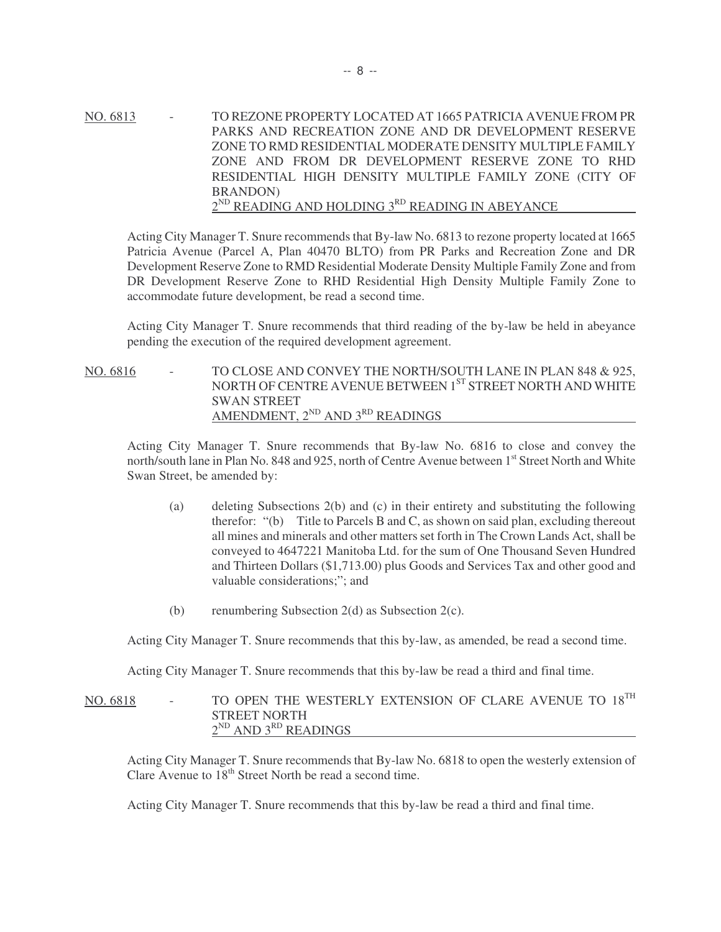NO. 6813 - TO REZONE PROPERTY LOCATED AT 1665 PATRICIA AVENUE FROM PR PARKS AND RECREATION ZONE AND DR DEVELOPMENT RESERVE ZONE TO RMD RESIDENTIAL MODERATE DENSITY MULTIPLE FAMILY ZONE AND FROM DR DEVELOPMENT RESERVE ZONE TO RHD RESIDENTIAL HIGH DENSITY MULTIPLE FAMILY ZONE (CITY OF BRANDON)  $2^{ND}$  READING AND HOLDING  $3^{RD}$  READING IN ABEYANCE

Acting City Manager T. Snure recommends that By-law No. 6813 to rezone property located at 1665 Patricia Avenue (Parcel A, Plan 40470 BLTO) from PR Parks and Recreation Zone and DR Development Reserve Zone to RMD Residential Moderate Density Multiple Family Zone and from DR Development Reserve Zone to RHD Residential High Density Multiple Family Zone to accommodate future development, be read a second time.

Acting City Manager T. Snure recommends that third reading of the by-law be held in abeyance pending the execution of the required development agreement.

NO. 6816 - TO CLOSE AND CONVEY THE NORTH/SOUTH LANE IN PLAN 848 & 925, NORTH OF CENTRE AVENUE BETWEEN 1<sup>ST</sup> STREET NORTH AND WHITE SWAN STREET AMENDMENT,  $2^{ND}$  AND  $3^{RD}$  READINGS

Acting City Manager T. Snure recommends that By-law No. 6816 to close and convey the north/south lane in Plan No. 848 and 925, north of Centre Avenue between 1<sup>st</sup> Street North and White Swan Street, be amended by:

- (a) deleting Subsections 2(b) and (c) in their entirety and substituting the following therefor: "(b) Title to Parcels B and C, as shown on said plan, excluding thereout all mines and minerals and other matters set forth in The Crown Lands Act, shall be conveyed to 4647221 Manitoba Ltd. for the sum of One Thousand Seven Hundred and Thirteen Dollars (\$1,713.00) plus Goods and Services Tax and other good and valuable considerations;"; and
- (b) renumbering Subsection 2(d) as Subsection 2(c).

Acting City Manager T. Snure recommends that this by-law, as amended, be read a second time.

Acting City Manager T. Snure recommends that this by-law be read a third and final time.

# NO. 6818 - TO OPEN THE WESTERLY EXTENSION OF CLARE AVENUE TO 18<sup>TH</sup> STREET NORTH  $2^{ND}$  AND  $3^{RD}$  READINGS

Acting City Manager T. Snure recommends that By-law No. 6818 to open the westerly extension of Clare Avenue to  $18<sup>th</sup>$  Street North be read a second time.

Acting City Manager T. Snure recommends that this by-law be read a third and final time.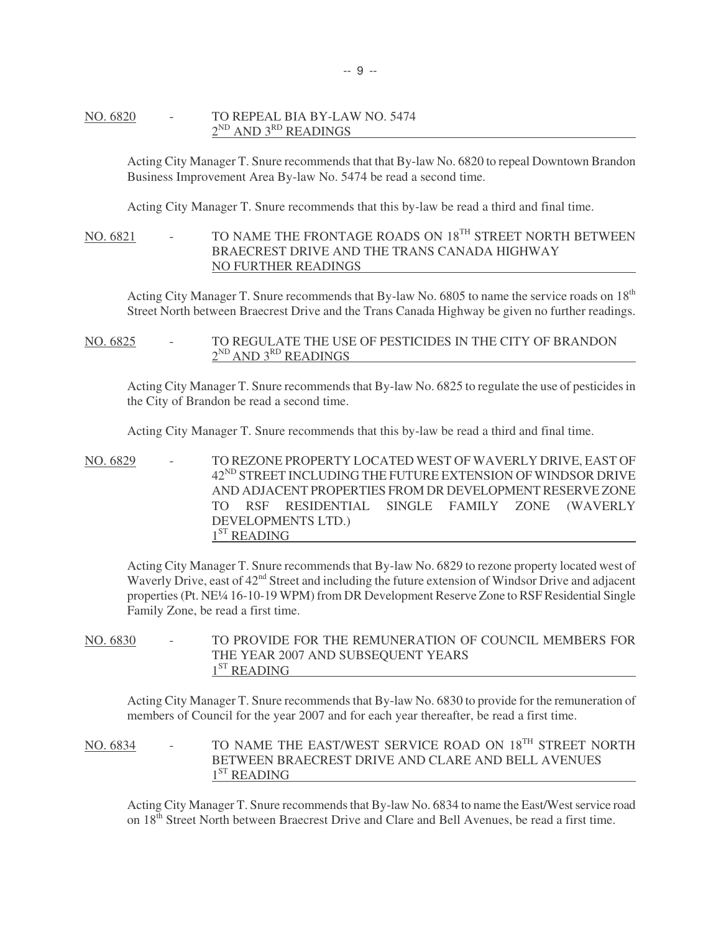#### NO. 6820 - TO REPEAL BIA BY-LAW NO. 5474  $2^{ND}$  AND  $3^{RD}$  READINGS

Acting City Manager T. Snure recommends that that By-law No. 6820 to repeal Downtown Brandon Business Improvement Area By-law No. 5474 be read a second time.

Acting City Manager T. Snure recommends that this by-law be read a third and final time.

# NO. 6821 - TO NAME THE FRONTAGE ROADS ON 18<sup>TH</sup> STREET NORTH BETWEEN BRAECREST DRIVE AND THE TRANS CANADA HIGHWAY NO FURTHER READINGS

Acting City Manager T. Snure recommends that By-law No. 6805 to name the service roads on 18<sup>th</sup> Street North between Braecrest Drive and the Trans Canada Highway be given no further readings.

NO. 6825 - TO REGULATE THE USE OF PESTICIDES IN THE CITY OF BRANDON 2<sup>ND</sup> AND 3<sup>RD</sup> READINGS

Acting City Manager T. Snure recommends that By-law No. 6825 to regulate the use of pesticides in the City of Brandon be read a second time.

Acting City Manager T. Snure recommends that this by-law be read a third and final time.

NO. 6829 - TO REZONE PROPERTY LOCATED WEST OF WAVERLY DRIVE, EAST OF 42<sup>ND</sup> STREET INCLUDING THE FUTURE EXTENSION OF WINDSOR DRIVE AND ADJACENT PROPERTIES FROM DR DEVELOPMENT RESERVE ZONE TO RSF RESIDENTIAL SINGLE FAMILY ZONE (WAVERLY DEVELOPMENTS LTD.)  $1<sup>ST</sup>$  READING

Acting City Manager T. Snure recommends that By-law No. 6829 to rezone property located west of Waverly Drive, east of  $42<sup>nd</sup>$  Street and including the future extension of Windsor Drive and adjacent properties (Pt. NE¼ 16-10-19 WPM) from DR Development Reserve Zone to RSF Residential Single Family Zone, be read a first time.

NO. 6830 - TO PROVIDE FOR THE REMUNERATION OF COUNCIL MEMBERS FOR THE YEAR 2007 AND SUBSEQUENT YEARS  $1<sup>ST</sup>$  READING

Acting City Manager T. Snure recommends that By-law No. 6830 to provide for the remuneration of members of Council for the year 2007 and for each year thereafter, be read a first time.

NO. 6834 - TO NAME THE EAST/WEST SERVICE ROAD ON 18<sup>TH</sup> STREET NORTH BETWEEN BRAECREST DRIVE AND CLARE AND BELL AVENUES  $1<sup>ST</sup>$  READING

Acting City Manager T. Snure recommends that By-law No. 6834 to name the East/West service road on 18<sup>th</sup> Street North between Braecrest Drive and Clare and Bell Avenues, be read a first time.